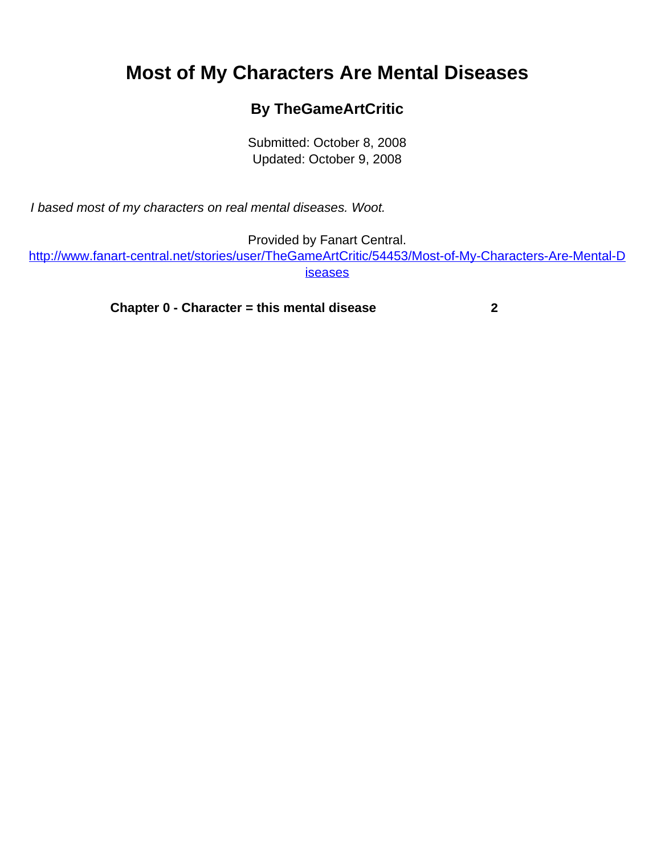## <span id="page-0-0"></span>**Most of My Characters Are Mental Diseases**

## **By TheGameArtCritic**

Submitted: October 8, 2008 Updated: October 9, 2008

I based most of my characters on real mental diseases. Woot.

Provided by Fanart Central.

[http://www.fanart-central.net/stories/user/TheGameArtCritic/54453/Most-of-My-Characters-Are-Mental-D](#page-0-0) [iseases](#page-0-0)

**[Chapter 0 - Character = this mental disease](#page-1-0) [2](#page-1-0)**